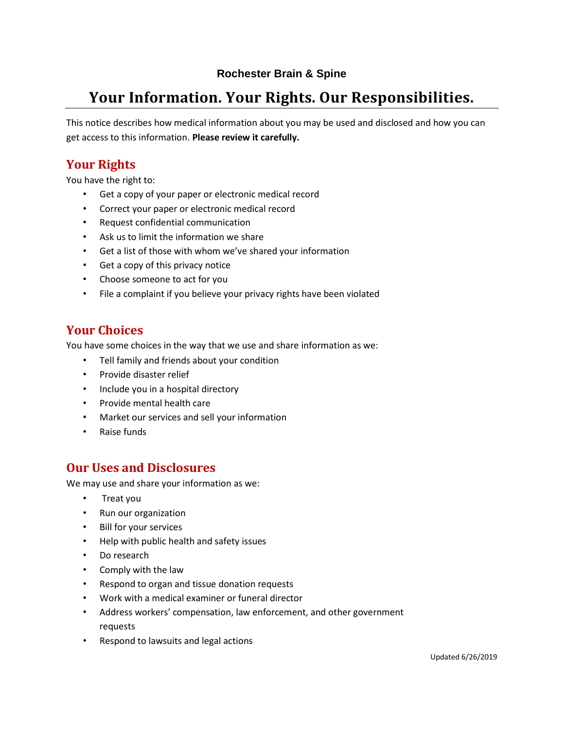### **Rochester Brain & Spine**

# **Your Information. Your Rights. Our Responsibilities.**

This notice describes how medical information about you may be used and disclosed and how you can get access to this information. **Please review it carefully.**

# **Your Rights**

You have the right to:

- Get a copy of your paper or electronic medical record
- Correct your paper or electronic medical record
- Request confidential communication
- Ask us to limit the information we share
- Get a list of those with whom we've shared your information
- Get a copy of this privacy notice
- Choose someone to act for you
- File a complaint if you believe your privacy rights have been violated

### **Your Choices**

You have some choices in the way that we use and share information as we:

- Tell family and friends about your condition
- Provide disaster relief
- Include you in a hospital directory
- Provide mental health care
- Market our services and sell your information
- Raise funds

### **Our Uses and Disclosures**

We may use and share your information as we:

- Treat you
- Run our organization
- Bill for your services
- Help with public health and safety issues
- Do research
- Comply with the law
- Respond to organ and tissue donation requests
- Work with a medical examiner or funeral director
- Address workers' compensation, law enforcement, and other government requests
- Respond to lawsuits and legal actions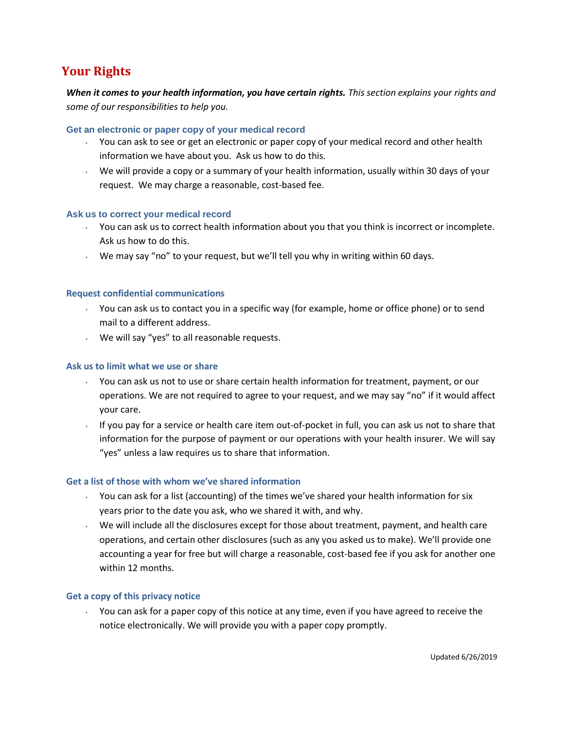### **Your Rights**

*When it comes to your health information, you have certain rights. This section explains your rights and some of our responsibilities to help you.*

#### **Get an electronic or paper copy of your medical record**

- You can ask to see or get an electronic or paper copy of your medical record and other health information we have about you. Ask us how to do this.
- We will provide a copy or a summary of your health information, usually within 30 days of your request. We may charge a reasonable, cost-based fee.

#### **Ask us to correct your medical record**

- You can ask us to correct health information about you that you think is incorrect or incomplete. Ask us how to do this.
- We may say "no" to your request, but we'll tell you why in writing within 60 days.

#### **Request confidential communications**

- You can ask us to contact you in a specific way (for example, home or office phone) or to send mail to a different address.
- We will say "yes" to all reasonable requests.

#### **Ask us to limit what we use or share**

- You can ask us not to use or share certain health information for treatment, payment, or our operations. We are not required to agree to your request, and we may say "no" if it would affect your care.
- If you pay for a service or health care item out-of-pocket in full, you can ask us not to share that information for the purpose of payment or our operations with your health insurer. We will say "yes" unless a law requires us to share that information.

#### **Get a list of those with whom we've shared information**

- You can ask for a list (accounting) of the times we've shared your health information for six years prior to the date you ask, who we shared it with, and why.
- $\sim$  We will include all the disclosures except for those about treatment, payment, and health care operations, and certain other disclosures (such as any you asked us to make). We'll provide one accounting a year for free but will charge a reasonable, cost-based fee if you ask for another one within 12 months.

#### **Get a copy of this privacy notice**

You can ask for a paper copy of this notice at any time, even if you have agreed to receive the notice electronically. We will provide you with a paper copy promptly.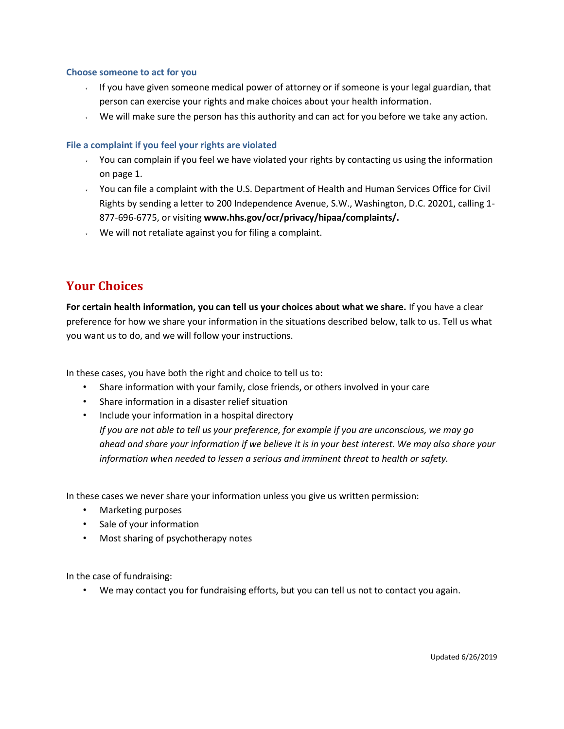#### **Choose someone to act for you**

- If you have given someone medical power of attorney or if someone is your legal guardian, that person can exercise your rights and make choices about your health information.
- We will make sure the person has this authority and can act for you before we take any action.

#### **File a complaint if you feel your rights are violated**

- You can complain if you feel we have violated your rights by contacting us using the information on page 1.
- You can file a complaint with the U.S. Department of Health and Human Services Office for Civil Rights by sending a letter to 200 Independence Avenue, S.W., Washington, D.C. 20201, calling 1- 877-696-6775, or visiting **[www.hhs.gov/ocr/privacy/hipaa/complaints/.](http://www.hhs.gov/ocr/privacy/hipaa/complaints/)**
- We will not retaliate against you for filing a complaint.

### **Your Choices**

**For certain health information, you can tell us your choices about what we share.** If you have a clear preference for how we share your information in the situations described below, talk to us. Tell us what you want us to do, and we will follow your instructions.

In these cases, you have both the right and choice to tell us to:

- Share information with your family, close friends, or others involved in your care
- Share information in a disaster relief situation
- Include your information in a hospital directory

*If you are not able to tell us your preference, for example if you are unconscious, we may go ahead and share your information if we believe it is in your best interest. We may also share your information when needed to lessen a serious and imminent threat to health or safety.*

In these cases we never share your information unless you give us written permission:

- Marketing purposes
- Sale of your information
- Most sharing of psychotherapy notes

In the case of fundraising:

• We may contact you for fundraising efforts, but you can tell us not to contact you again.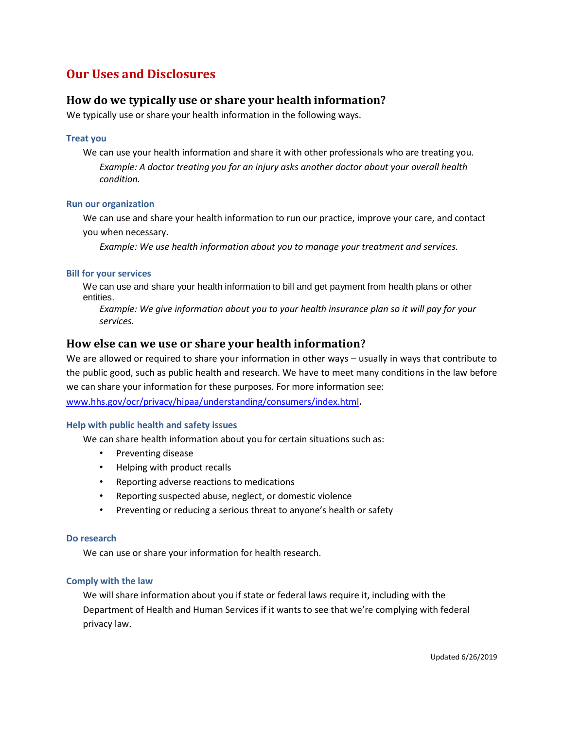# **Our Uses and Disclosures**

### **How do we typically use or share your health information?**

We typically use or share your health information in the following ways.

#### **Treat you**

We can use your health information and share it with other professionals who are treating you. *Example: A doctor treating you for an injury asks another doctor about your overall health condition.*

#### **Run our organization**

We can use and share your health information to run our practice, improve your care, and contact you when necessary.

*Example: We use health information about you to manage your treatment and services.*

#### **Bill for your services**

We can use and share your health information to bill and get payment from health plans or other entities.

*Example: We give information about you to your health insurance plan so it will pay for your services.*

### **How else can we use or share your health information?**

We are allowed or required to share your information in other ways – usually in ways that contribute to the public good, such as public health and research. We have to meet many conditions in the law before we can share your information for these purposes. For more information see: [www.hhs.gov/ocr/privacy/hipaa/understanding/consumers/index.html](http://www.hhs.gov/ocr/privacy/hipaa/understanding/consumers/index.html)**.**

#### **Help with public health and safety issues**

We can share health information about you for certain situations such as:

- Preventing disease
- Helping with product recalls
- Reporting adverse reactions to medications
- Reporting suspected abuse, neglect, or domestic violence
- Preventing or reducing a serious threat to anyone's health or safety

#### **Do research**

We can use or share your information for health research.

#### **Comply with the law**

We will share information about you if state or federal laws require it, including with the Department of Health and Human Services if it wants to see that we're complying with federal privacy law.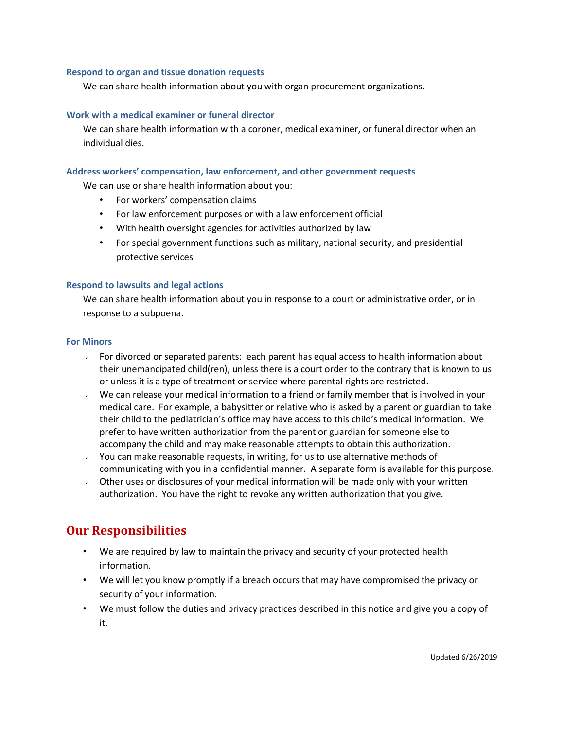#### **Respond to organ and tissue donation requests**

We can share health information about you with organ procurement organizations.

#### **Work with a medical examiner or funeral director**

We can share health information with a coroner, medical examiner, or funeral director when an individual dies.

#### **Address workers' compensation, law enforcement, and other government requests**

We can use or share health information about you:

- For workers' compensation claims
- For law enforcement purposes or with a law enforcement official
- With health oversight agencies for activities authorized by law
- For special government functions such as military, national security, and presidential protective services

#### **Respond to lawsuits and legal actions**

We can share health information about you in response to a court or administrative order, or in response to a subpoena.

#### **For Minors**

- For divorced or separated parents: each parent has equal access to health information about their unemancipated child(ren), unless there is a court order to the contrary that is known to us or unless it is a type of treatment or service where parental rights are restricted.
- We can release your medical information to a friend or family member that is involved in your medical care. For example, a babysitter or relative who is asked by a parent or guardian to take their child to the pediatrician's office may have access to this child's medical information. We prefer to have written authorization from the parent or guardian for someone else to accompany the child and may make reasonable attempts to obtain this authorization.
- You can make reasonable requests, in writing, for us to use alternative methods of communicating with you in a confidential manner. A separate form is available for this purpose.
- Other uses or disclosures of your medical information will be made only with your written  $\epsilon$ authorization. You have the right to revoke any written authorization that you give.

### **Our Responsibilities**

- We are required by law to maintain the privacy and security of your protected health information.
- We will let you know promptly if a breach occurs that may have compromised the privacy or security of your information.
- We must follow the duties and privacy practices described in this notice and give you a copy of it.